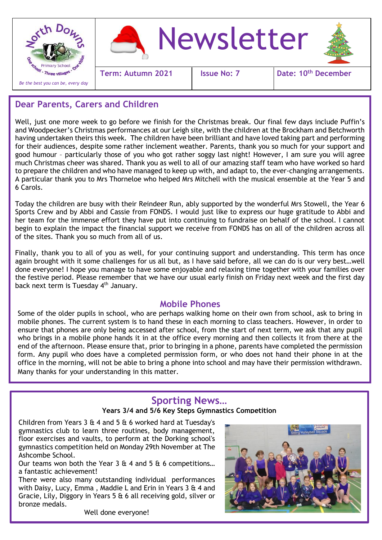

### **Dear Parents, Carers and Children**

Well, just one more week to go before we finish for the Christmas break. Our final few days include Puffin's and Woodpecker's Christmas performances at our Leigh site, with the children at the Brockham and Betchworth having undertaken theirs this week. The children have been brilliant and have loved taking part and performing for their audiences, despite some rather inclement weather. Parents, thank you so much for your support and good humour – particularly those of you who got rather soggy last night! However, I am sure you will agree much Christmas cheer was shared. Thank you as well to all of our amazing staff team who have worked so hard to prepare the children and who have managed to keep up with, and adapt to, the ever-changing arrangements. A particular thank you to Mrs Thorneloe who helped Mrs Mitchell with the musical ensemble at the Year 5 and 6 Carols.

Today the children are busy with their Reindeer Run, ably supported by the wonderful Mrs Stowell, the Year 6 Sports Crew and by Abbi and Cassie from FONDS. I would just like to express our huge gratitude to Abbi and her team for the immense effort they have put into continuing to fundraise on behalf of the school. I cannot begin to explain the impact the financial support we receive from FONDS has on all of the children across all of the sites. Thank you so much from all of us.

Finally, thank you to all of you as well, for your continuing support and understanding. This term has once again brought with it some challenges for us all but, as I have said before, all we can do is our very best…well done everyone! I hope you manage to have some enjoyable and relaxing time together with your families over the festive period. Please remember that we have our usual early finish on Friday next week and the first day back next term is Tuesday 4<sup>th</sup> January.

#### **Mobile Phones**

Some of the older pupils in school, who are perhaps walking home on their own from school, ask to bring in mobile phones. The current system is to hand these in each morning to class teachers. However, in order to ensure that phones are only being accessed after school, from the start of next term, we ask that any pupil who brings in a mobile phone hands it in at the office every morning and then collects it from there at the end of the afternoon. Please ensure that, prior to bringing in a phone, parents have completed the permission form. Any pupil who does have a completed permission form, or who does not hand their phone in at the office in the morning, will not be able to bring a phone into school and may have their permission withdrawn. Many thanks for your understanding in this matter.

# **Sporting News…**

#### **Years 3/4 and 5/6 Key Steps Gymnastics Competition**

Children from Years 3 & 4 and 5 & 6 worked hard at Tuesday's gymnastics club to learn three routines, body management, floor exercises and vaults, to perform at the Dorking school's gymnastics competition held on Monday 29th November at The Ashcombe School.

Ĩ

Our teams won both the Year  $3 \text{ ft } 4$  and  $5 \text{ ft } 6$  competitions... a fantastic achievement!

There were also many outstanding individual performances with Daisy, Lucy, Emma , Maddie L and Erin in Years 3 & 4 and Gracie, Lily, Diggory in Years 5 & 6 all receiving gold, silver or bronze medals.

Well done everyone!